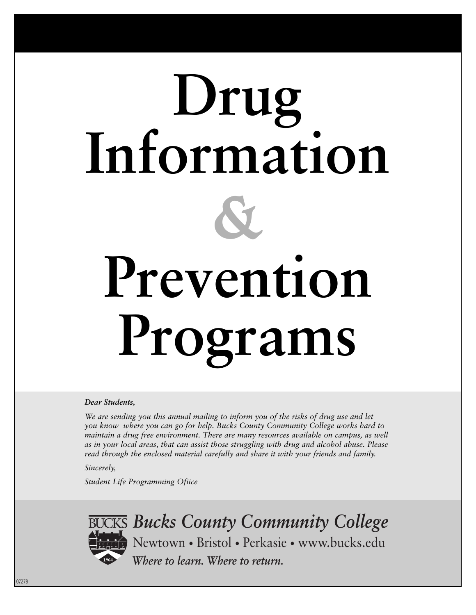# **Drug Information & Prevention Programs**

#### *Dear Students,*

*We are sending you this annual mailing to inform you of the risks of drug use and let you know where you can go for help. Bucks County Community College works hard to maintain a drug free environment. There are many resources available on campus, as well as in your local areas, that can assist those struggling with drug and alcohol abuse. Please read through the enclosed material carefully and share it with your friends and family.*

*Sincerely,*

*Student Life Programming Ofiice*



*Where to learn. Where to return. Bucks County Community College* Newtown • Bristol • Perkasie • www.bucks.edu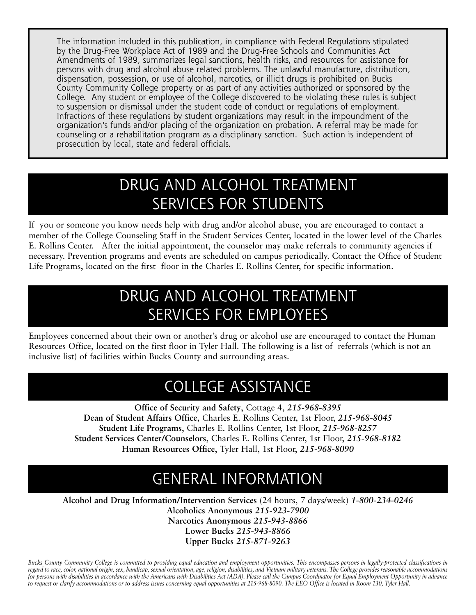The information included in this publication, in compliance with Federal Regulations stipulated by the Drug-Free Workplace Act of 1989 and the Drug-Free Schools and Communities Act Amendments of 1989, summarizes legal sanctions, health risks, and resources for assistance for persons with drug and alcohol abuse related problems. The unlawful manufacture, distribution, dispensation, possession, or use of alcohol, narcotics, or illicit drugs is prohibited on Bucks County Community College property or as part of any activities authorized or sponsored by the College. Any student or employee of the College discovered to be violating these rules is subject to suspension or dismissal under the student code of conduct or regulations of employment. Infractions of these regulations by student organizations may result in the impoundment of the organization's funds and/or placing of the organization on probation. A referral may be made for counseling or a rehabilitation program as a disciplinary sanction. Such action is independent of prosecution by local, state and federal officials.

#### DRUG AND ALCOHOL TREATMENT SERVICES FOR STUDENTS

If you or someone you know needs help with drug and/or alcohol abuse, you are encouraged to contact a member of the College Counseling Staff in the Student Services Center, located in the lower level of the Charles E. Rollins Center. After the initial appointment, the counselor may make referrals to community agencies if necessary. Prevention programs and events are scheduled on campus periodically. Contact the Office of Student Life Programs, located on the first floor in the Charles E. Rollins Center, for specific information.

#### DRUG AND ALCOHOL TREATMENT SERVICES FOR EMPLOYEES

Employees concerned about their own or another's drug or alcohol use are encouraged to contact the Human Resources Office, located on the first floor in Tyler Hall. The following is a list of referrals (which is not an inclusive list) of facilities within Bucks County and surrounding areas.

#### COLLEGE ASSISTANCE

**Office of Security and Safety**, Cottage 4, *215-968-8395* **Dean of Student Affairs Office**, Charles E. Rollins Center, 1st Floor, *215-968-8045* **Student Life Programs**, Charles E. Rollins Center, 1st Floor, *215-968-8257* **Student Services Center/Counselors**, Charles E. Rollins Center, 1st Floor, *215-968-8182* **Human Resources Office**, Tyler Hall, 1st Floor, *215-968-8090*

#### GENERAL INFORMATION

**Alcohol and Drug Information/Intervention Services** (24 hours, 7 days/week) *1-800-234-0246* **Alcoholics Anonymous** *215-923-7900* **Narcotics Anonymous** *215-943-8866* **Lower Bucks** *215-943-8866* **Upper Bucks** *215-871-9263*

Bucks County Community College is committed to providing equal education and employment opportunities. This encompasses persons in legally-protected classifications in regard to race, color, national origin, sex, handicap, sexual orientation, age, religion, disabilities, and Vietnam military veterans. The College provides reasonable accommodations for persons with disabilities in accordance with the Americans with Disabilities Act (ADA). Please call the Campus Coordinator for Equal Employment Opportunity in advance to request or clarify accommodations or to address issues concerning equal opportunities at 215-968-8090. The EEO Office is located in Room 130, Tyler Hall.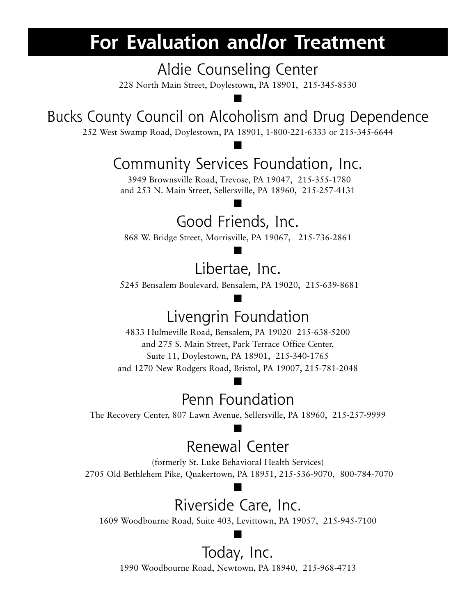## **For Evaluation and/or Treatment**

Aldie Counseling Center

228 North Main Street, Doylestown, PA 18901, 215-345-8530 **■**

Bucks County Council on Alcoholism and Drug Dependence

252 West Swamp Road, Doylestown, PA 18901, 1-800-221-6333 or 215-345-6644 **■**

#### Community Services Foundation, Inc.

3949 Brownsville Road, Trevose, PA 19047, 215-355-1780 and 253 N. Main Street, Sellersville, PA 18960, 215-257-4131

#### Good Friends, Inc.

**■**

868 W. Bridge Street, Morrisville, PA 19067, 215-736-2861 **■**

#### Libertae, Inc.

5245 Bensalem Boulevard, Bensalem, PA 19020, 215-639-8681 **■**

### Livengrin Foundation

4833 Hulmeville Road, Bensalem, PA 19020 215-638-5200 and 275 S. Main Street, Park Terrace Office Center, Suite 11, Doylestown, PA 18901, 215-340-1765 and 1270 New Rodgers Road, Bristol, PA 19007, 215-781-2048

#### Penn Foundation

**■**

The Recovery Center, 807 Lawn Avenue, Sellersville, PA 18960, 215-257-9999 **■**

#### Renewal Center

(formerly St. Luke Behavioral Health Services) 2705 Old Bethlehem Pike, Quakertown, PA 18951, 215-536-9070, 800-784-7070

#### Riverside Care, Inc.

**■**

1609 Woodbourne Road, Suite 403, Levittown, PA 19057, 215-945-7100 **■**

#### Today, Inc.

1990 Woodbourne Road, Newtown, PA 18940, 215-968-4713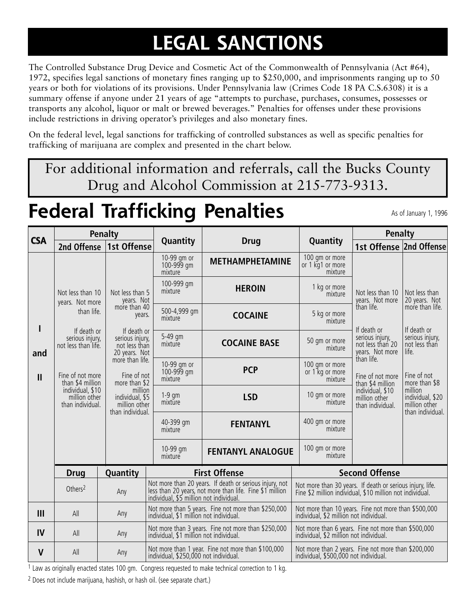# **LEGAL SANCTIONS**

The Controlled Substance Drug Device and Cosmetic Act of the Commonwealth of Pennsylvania (Act #64), 1972, specifies legal sanctions of monetary fines ranging up to \$250,000, and imprisonments ranging up to 50 years or both for violations of its provisions. Under Pennsylvania law (Crimes Code 18 PA C.S.6308) it is a summary offense if anyone under 21 years of age "attempts to purchase, purchases, consumes, possesses or transports any alcohol, liquor or malt or brewed beverages." Penalties for offenses under these provisions include restrictions in driving operator's privileges and also monetary fines.

On the federal level, legal sanctions for trafficking of controlled substances as well as specific penalties for trafficking of marijuana are complex and presented in the chart below.

For additional information and referrals, call the Bucks County Drug and Alcohol Commission at 215-773-9313.

# **Federal Trafficking Penalties**

As of January 1, 1996

| <b>CSA</b>   |                                                       | Penalty                                                          |                                         |                                                                                                                                                          |                                                                                                                        | <b>Penalty</b>                                                        |                                                                  |
|--------------|-------------------------------------------------------|------------------------------------------------------------------|-----------------------------------------|----------------------------------------------------------------------------------------------------------------------------------------------------------|------------------------------------------------------------------------------------------------------------------------|-----------------------------------------------------------------------|------------------------------------------------------------------|
|              | 2nd Offense                                           | 1st Offense                                                      | Quantity                                | <b>Drug</b>                                                                                                                                              | Quantity                                                                                                               | 1st Offense 2nd Offense                                               |                                                                  |
|              |                                                       |                                                                  | 10-99 gm or<br>100-999 gm<br>mixture    | <b>METHAMPHETAMINE</b>                                                                                                                                   | 100 qm or more<br>or 1 kg1 or more<br>mixture                                                                          |                                                                       |                                                                  |
|              | Not less than 10<br>years. Not more                   | Not less than 5<br>years. Not                                    | 100-999 gm<br>mixture                   | <b>HEROIN</b>                                                                                                                                            | 1 kg or more<br>mixture                                                                                                | Not less than 10<br>years. Not more                                   | Not less than<br>20 years. Not                                   |
|              | than life.                                            | more than 40<br>years.                                           | 500-4,999 gm<br>mixture                 | <b>COCAINE</b>                                                                                                                                           | 5 kg or more<br>mixture                                                                                                | than life.                                                            | more than life.                                                  |
| and          | If death or<br>serious injury,<br>not less than life. | If death or<br>serious injury,<br>not less than<br>20 years. Not | 5-49 gm<br>mixture                      | <b>COCAINE BASE</b>                                                                                                                                      | 50 gm or more<br>mixture                                                                                               | If death or<br>serious injury,<br>not less than 20<br>years. Not more | If death or<br>serious injury,<br>not less than<br>life.         |
| $\mathbf{H}$ | Fine of not more<br>than \$4 million                  | more than life.<br>Fine of not<br>more than \$2                  | 10-99 qm or<br>100-999 gm<br>mixture    | <b>PCP</b>                                                                                                                                               | 100 qm or more<br>or 1 kg or more<br>mixture                                                                           | than life.<br>Fine of not more<br>than \$4 million                    | Fine of not<br>more than \$8                                     |
|              | individual, \$10<br>million other<br>than individual. | million<br>individual, \$5<br>million other<br>than individual.  | $1-9$ qm<br>mixture                     | <b>LSD</b>                                                                                                                                               | 10 gm or more<br>mixture                                                                                               | individual, \$10<br>million other<br>than individual.                 | million<br>individual, \$20<br>million other<br>than individual. |
|              |                                                       |                                                                  | 40-399 gm<br>mixture                    | <b>FENTANYL</b>                                                                                                                                          | 400 qm or more<br>mixture                                                                                              |                                                                       |                                                                  |
|              |                                                       |                                                                  | 10-99 gm<br>mixture                     | <b>FENTANYL ANALOGUE</b>                                                                                                                                 | 100 qm or more<br>mixture                                                                                              |                                                                       |                                                                  |
|              | <b>Drug</b>                                           | Quantity                                                         |                                         | <b>First Offense</b>                                                                                                                                     |                                                                                                                        | <b>Second Offense</b>                                                 |                                                                  |
|              | Others <sup>2</sup>                                   | Any                                                              |                                         | Not more than 20 years. If death or serious injury, not less than 20 years, not more than life. Fine \$1 million individual, \$5 million not individual. | Not more than 30 years. If death or serious injury, life.<br>Fine \$2 million individual, \$10 million not individual. |                                                                       |                                                                  |
| III          | All                                                   | Any                                                              | individual, \$1 million not individual. | Not more than 5 years. Fine not more than \$250,000                                                                                                      | Not more than 10 years. Fine not more than \$500,000 individual, \$2 million not individual.                           |                                                                       |                                                                  |
| IV           | All                                                   | Any                                                              | individual, \$1 million not individual. | Not more than 3 years. Fine not more than \$250,000                                                                                                      | Not more than 6 years. Fine not more than \$500,000 individual, \$2 million not individual.                            |                                                                       |                                                                  |
| V            | All                                                   | Any                                                              | individual, \$250,000 not individual.   | Not more than 1 year. Fine not more than \$100,000                                                                                                       | Not more than 2 years. Fine not more than \$200,000<br>individual, \$500,000 not individual.                           |                                                                       |                                                                  |

1 Law as originally enacted states 100 gm. Congress requested to make technical correction to 1 kg.

2 Does not include marijuana, hashish, or hash oil. (see separate chart.)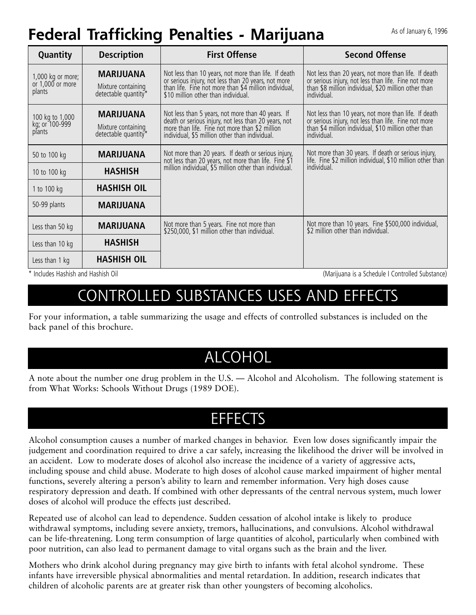#### **Federal Trafficking Penalties - Marijuana** As of January 6, 1996

| Quantity                                        | <b>Description</b>                                             | <b>First Offense</b>                                                                                                                                                                                          | <b>Second Offense</b>                                                                                                                                                               |
|-------------------------------------------------|----------------------------------------------------------------|---------------------------------------------------------------------------------------------------------------------------------------------------------------------------------------------------------------|-------------------------------------------------------------------------------------------------------------------------------------------------------------------------------------|
| 1,000 kg or more;<br>or 1,000 or more<br>plants | <b>MARIJUANA</b><br>Mixture containing<br>detectable quantity* | Not less than 10 years, not more than life. If death<br>or serious injury, not less than 20 years, not more<br>than life. Fine not more than \$4 million individual,<br>\$10 million other than individual.   | Not less than 20 years, not more than life. If death<br>or serious injury, not less than life. Fine not more<br>than \$8 million individual, \$20 million other than<br>individual. |
| 100 kg to 1,000<br>kg; or 100-999<br>plants     | <b>MARIJUANA</b><br>Mixture containing<br>detectable quantity* | Not less than 5 years, not more than 40 years. If<br>death or serious injury, not less than 20 years, not<br>more than life. Fine not more than \$2 million<br>individual, \$5 million other than individual. | Not less than 10 years, not more than life. If death<br>or serious injury, not less than life. Fine not more than \$4 million individual, \$10 million other than<br>individual.    |
| 50 to 100 kg                                    | <b>MARIJUANA</b>                                               | Not more than 20 years. If death or serious injury, not less than 20 years, not more than life. Fine \$1                                                                                                      | Not more than 30 years. If death or serious injury,<br>life. Fine \$2 million individual, \$10 million other than                                                                   |
| 10 to 100 kg                                    | <b>HASHISH</b>                                                 | million individual, \$5 million other than individual.                                                                                                                                                        | individual.                                                                                                                                                                         |
| 1 to 100 kg                                     | <b>HASHISH OIL</b>                                             |                                                                                                                                                                                                               |                                                                                                                                                                                     |
| 50-99 plants                                    | <b>MARIJUANA</b>                                               |                                                                                                                                                                                                               |                                                                                                                                                                                     |
| Less than 50 kg                                 | <b>MARIJUANA</b>                                               | Not more than 5 years. Fine not more than<br>\$250,000, \$1 million other than individual.                                                                                                                    | Not more than 10 years. Fine \$500,000 individual, \$2 million other than individual.                                                                                               |
| Less than 10 kg                                 | <b>HASHISH</b>                                                 |                                                                                                                                                                                                               |                                                                                                                                                                                     |
| Less than 1 kg                                  | <b>HASHISH OIL</b>                                             |                                                                                                                                                                                                               |                                                                                                                                                                                     |

\* Includes Hashish and Hashish Oil (Marijuana is a Schedule I Controlled Substance)

#### CONTROLLED SUBSTANCES USES AND EFFECTS

For your information, a table summarizing the usage and effects of controlled substances is included on the back panel of this brochure.

#### ALCOHOL

A note about the number one drug problem in the U.S. — Alcohol and Alcoholism. The following statement is from What Works: Schools Without Drugs (1989 DOE).

#### **EFFECTS**

Alcohol consumption causes a number of marked changes in behavior. Even low doses significantly impair the judgement and coordination required to drive a car safely, increasing the likelihood the driver will be involved in an accident. Low to moderate doses of alcohol also increase the incidence of a variety of aggressive acts, including spouse and child abuse. Moderate to high doses of alcohol cause marked impairment of higher mental functions, severely altering a person's ability to learn and remember information. Very high doses cause respiratory depression and death. If combined with other depressants of the central nervous system, much lower doses of alcohol will produce the effects just described.

Repeated use of alcohol can lead to dependence. Sudden cessation of alcohol intake is likely to produce withdrawal symptoms, including severe anxiety, tremors, hallucinations, and convulsions. Alcohol withdrawal can be life-threatening. Long term consumption of large quantities of alcohol, particularly when combined with poor nutrition, can also lead to permanent damage to vital organs such as the brain and the liver.

Mothers who drink alcohol during pregnancy may give birth to infants with fetal alcohol syndrome. These infants have irreversible physical abnormalities and mental retardation. In addition, research indicates that children of alcoholic parents are at greater risk than other youngsters of becoming alcoholics.